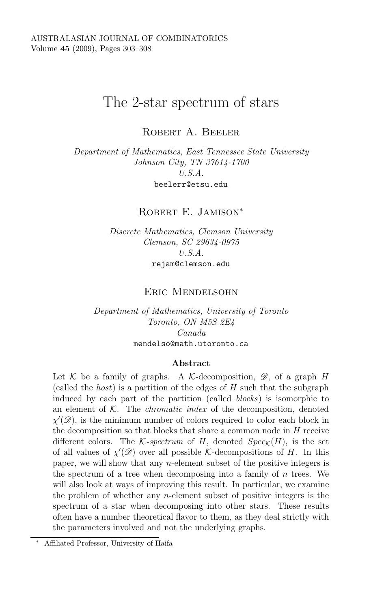# The 2-star spectrum of stars

ROBERT A. BEELER

*Department of Mathematics, East Tennessee State University Johnson City, TN 37614-1700 U.S.A.* beelerr@etsu.edu

ROBERT E. JAMISON<sup>\*</sup>

*Discrete Mathematics, Clemson University Clemson, SC 29634-0975 U.S.A.* rejam@clemson.edu

## Eric Mendelsohn

*Department of Mathematics, University of Toronto Toronto, ON M5S 2E4 Canada* mendelso@math.utoronto.ca

#### **Abstract**

Let  $K$  be a family of graphs. A K-decomposition,  $\mathscr{D}$ , of a graph H (called the *host*) is a partition of the edges of H such that the subgraph induced by each part of the partition (called *blocks*) is isomorphic to an element of K. The *chromatic index* of the decomposition, denoted  $\chi'(\mathscr{D})$ , is the minimum number of colors required to color each block in<br>the deconnosition so that blocks that share a common node in H receive the decomposition so that blocks that share a common node in  $H$  receive different colors. The K-spectrum of H, denoted  $Spec_{\mathcal{K}}(H)$ , is the set of all values of  $\chi'(\mathscr{D})$  over all possible K-decompositions of H. In this<br>paper, we will show that any *n*-element subset of the positive integers is paper, we will show that any  $n$ -element subset of the positive integers is the spectrum of a tree when decomposing into a family of  $n$  trees. We will also look at ways of improving this result. In particular, we examine the problem of whether any n-element subset of positive integers is the spectrum of a star when decomposing into other stars. These results often have a number theoretical flavor to them, as they deal strictly with the parameters involved and not the underlying graphs.

<sup>∗</sup> Affiliated Professor, University of Haifa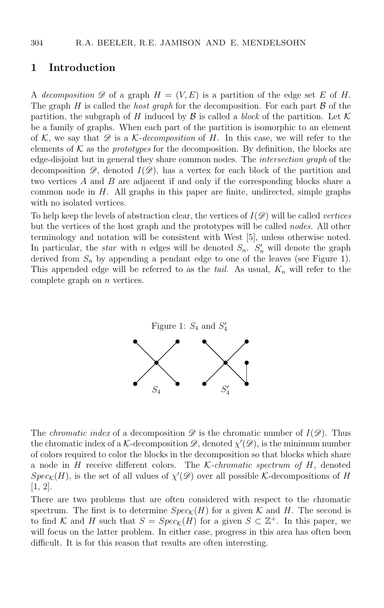#### **1 Introduction**

A *decomposition*  $\mathscr D$  of a graph  $H = (V, E)$  is a partition of the edge set E of H. The graph  $H$  is called the *host graph* for the decomposition. For each part  $\beta$  of the partition, the subgraph of H induced by  $\mathcal B$  is called a *block* of the partition. Let  $\mathcal K$ be a family of graphs. When each part of the partition is isomorphic to an element of <sup>K</sup>, we say that *<sup>D</sup>* is a <sup>K</sup>*-decomposition* of H. In this case, we will refer to the elements of  $K$  as the *prototypes* for the decomposition. By definition, the blocks are edge-disjoint but in general they share common nodes. The *intersection graph* of the decomposition  $\mathscr{D}$ , denoted  $I(\mathscr{D})$ , has a vertex for each block of the partition and two vertices A and B are adjacent if and only if the corresponding blocks share a common node in  $H$ . All graphs in this paper are finite, undirected, simple graphs with no isolated vertices.

To help keep the levels of abstraction clear, the vertices of I(*D*) will be called *vertices* but the vertices of the host graph and the prototypes will be called *nodes*. All other terminology and notation will be consistent with West [5], unless otherwise noted. In particular, the *star* with n edges will be denoted  $S_n$ .  $S'_n$  will denote the graph derived from  $S_n$  by appending a pendant edge to one of the leaves (see Figure 1) derived from  $S_n$  by appending a pendant edge to one of the leaves (see Figure 1). This appended edge will be referred to as the *tail*. As usual, <sup>K</sup>*<sup>n</sup>* will refer to the complete graph on  $n$  vertices.



The *chromatic index* of a decomposition  $\mathscr D$  is the chromatic number of  $I(\mathscr D)$ . Thus the chromatic index of a K-decomposition  $\mathscr{D}$ , denoted  $\chi'(\mathscr{D})$ , is the minimum number<br>of colors required to color the blocks in the decomposition so that blocks which share of colors required to color the blocks in the decomposition so that blocks which share a node in H receive different colors. The <sup>K</sup>*-chromatic spectrum of* H, denoted  $Spec_K(H)$ , is the set of all values of  $\chi'(\mathscr{D})$  over all possible K-decompositions of H  $[1, 2]$ [1, 2].

There are two problems that are often considered with respect to the chromatic spectrum. The first is to determine  $Spec_{\mathcal{K}}(H)$  for a given  $\mathcal K$  and  $H$ . The second is to find K and H such that  $S = Spec_{\mathcal{K}}(H)$  for a given  $S \subset \mathbb{Z}^+$ . In this paper, we will focus on the latter problem. In either case, progress in this area has often been difficult. It is for this reason that results are often interesting.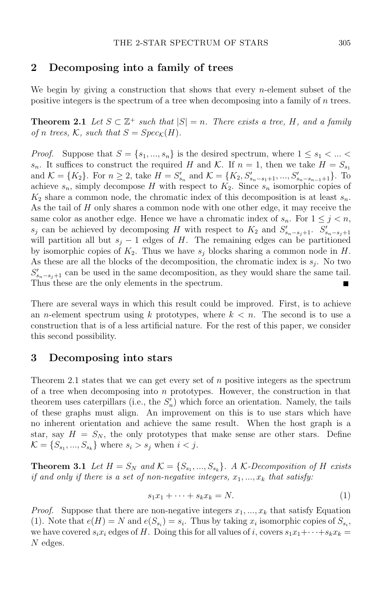## **2 Decomposing into a family of trees**

We begin by giving a construction that shows that every *n*-element subset of the positive integers is the spectrum of a tree when decomposing into a family of n trees.

**Theorem 2.1** *Let*  $S \subset \mathbb{Z}^+$  *such that*  $|S| = n$ *. There exists a tree, H, and a family of n trees,*  $K$ *, such that*  $S = Spec_K(H)$ *.* 

*Proof.* Suppose that  $S = \{s_1, ..., s_n\}$  is the desired spectrum, where  $1 \le s_1 < ... <$  $s_n$ . It suffices to construct the required H and K. If  $n = 1$ , then we take  $H = S_{s_1}$ and  $\mathcal{K} = \{K_2\}$ . For  $n \geq 2$ , take  $H = S'_{s_n}$  and  $\mathcal{K} = \{K_2, S'_{s_n-s_1+1}, ..., S'_{s_n-s_{n-1}+1}\}$ . To achieve  $s_n$ , simply decompose H with respect to  $K_2$ . Since  $s_n$  isomorphic copies of  $K_2$  share a common node, the chromatic index of this decomposition is at least  $s_n$ . As the tail of H only shares a common node with one other edge, it may receive the same color as another edge. Hence we have a chromatic index of  $s_n$ . For  $1 \leq j \leq n$ , *s*<sup>*s*</sup> can be achieved by decomposing H with respect to  $K_2$  and  $S'_{s_n-s_j+1}$ .  $S'_{s_n-s_j+1}$ <br>will partition all but  $s_i = 1$  edges of H. The remaining edges can be partitioned will partition all but  $s_j - 1$  edges of H. The remaining edges can be partitioned by isomorphic copies of  $K_2$ . Thus we have  $s_j$  blocks sharing a common node in  $H$ . As these are all the blocks of the decomposition, the chromatic index is  $s_j$ . No two  $S'_{s_n-s_j+1}$  can be used in the same decomposition, as they would share the same tail.<br>Thus these are the only elements in the spectrum Thus these are the only elements in the spectrum.

There are several ways in which this result could be improved. First, is to achieve an *n*-element spectrum using k prototypes, where  $k < n$ . The second is to use a construction that is of a less artificial nature. For the rest of this paper, we consider this second possibility.

#### **3 Decomposing into stars**

Theorem 2.1 states that we can get every set of n positive integers as the spectrum of a tree when decomposing into  $n$  prototypes. However, the construction in that theorem uses caterpillars (i.e., the  $S'_n$ ) which force an orientation. Namely, the tails<br>of these graphs must align. An improvement on this is to use stars which have of these graphs must align. An improvement on this is to use stars which have no inherent orientation and achieve the same result. When the host graph is a star, say  $H = S_N$ , the only prototypes that make sense are other stars. Define  $\mathcal{K} = \{S_{s_1}, ..., S_{s_k}\}\$  where  $s_i > s_j$  when  $i < j$ .

**Theorem 3.1** *Let*  $H = S_N$  *and*  $K = \{S_{s_1},...,S_{s_k}\}\$ . A K-Decomposition of H exists *if and only if there is a set of non-negative integers,*  $x_1, \ldots, x_k$  *that satisfy:* 

$$
s_1x_1 + \dots + s_kx_k = N. \tag{1}
$$

*Proof.* Suppose that there are non-negative integers  $x_1, ..., x_k$  that satisfy Equation (1). Note that  $e(H) = N$  and  $e(S_{s_i}) = s_i$ . Thus by taking  $x_i$  isomorphic copies of  $S_{s_i}$ , we have covered  $s_i x_i$  edges of H. Doing this for all values of i, covers  $s_1 x_1 + \cdots + s_k x_k =$ N edges.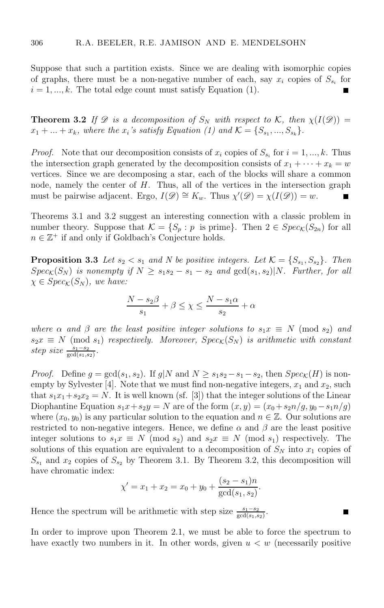Suppose that such a partition exists. Since we are dealing with isomorphic copies of graphs, there must be a non-negative number of each, say  $x_i$  copies of  $S_{s_i}$  for  $i = 1, ..., k$ . The total edge count must satisfy Equation (1).

**Theorem 3.2** *If*  $\mathscr D$  *is a decomposition of*  $S_N$  *with respect to*  $\mathcal K$ *, then*  $\chi(I(\mathscr D))$  =  $x_1 + ... + x_k$ *, where the*  $x_i$ *'s satisfy Equation (1) and*  $\mathcal{K} = \{S_{s_1}, ..., S_{s_k}\}.$ 

*Proof.* Note that our decomposition consists of  $x_i$  copies of  $S_{s_i}$  for  $i = 1, ..., k$ . Thus the intersection graph generated by the decomposition consists of  $x_1 + \cdots + x_k = w$ vertices. Since we are decomposing a star, each of the blocks will share a common node, namely the center of H. Thus, all of the vertices in the intersection graph must be pairwise adjacent. Ergo,  $I(\mathscr{D}) \cong K_w$ . Thus  $\chi'(\mathscr{D}) = \chi(I(\mathscr{D})) = w$ .

Theorems 3.1 and 3.2 suggest an interesting connection with a classic problem in number theory. Suppose that  $\mathcal{K} = \{S_p : p \text{ is prime}\}\$ . Then  $2 \in Spec_{\mathcal{K}}(S_{2n})$  for all  $n \in \mathbb{Z}^+$  if and only if Goldbach's Conjecture holds.

**Proposition 3.3** *Let*  $s_2 < s_1$  *and N be positive integers. Let*  $K = \{S_{s_1}, S_{s_2}\}\$ *. Then*  $Spec_{\mathcal{K}}(S_N)$  *is nonempty if*  $N \geq s_1s_2 - s_1 - s_2$  *and*  $gcd(s_1, s_2)|N$ *. Further, for all*  $\chi \in Spec_{\mathcal{K}}(S_N)$ *, we have:* 

$$
\frac{N - s_2\beta}{s_1} + \beta \le \chi \le \frac{N - s_1\alpha}{s_2} + \alpha
$$

*where*  $\alpha$  *and*  $\beta$  *are the least positive integer solutions to*  $s_1 x \equiv N \pmod{s_2}$  *and*  $s_2x \equiv N \pmod{s_1}$  *respectively. Moreover,*  $Spec_K(S_N)$  *is arithmetic with constant*  $step\ size\ \frac{s_1-s_2}{\gcd(s_1,s_2)}$ .

*Proof.* Define  $g = \gcd(s_1, s_2)$ . If  $g|N$  and  $N \ge s_1s_2 - s_1 - s_2$ , then  $Spec_{\mathcal{K}}(H)$  is nonempty by Sylvester [4]. Note that we must find non-negative integers,  $x_1$  and  $x_2$ , such that  $s_1x_1+s_2x_2 = N$ . It is well known (sf. [3]) that the integer solutions of the Linear Diophantine Equation  $s_1x+s_2y=N$  are of the form  $(x, y)=(x_0+s_2n/q, y_0-s_1n/q)$ where  $(x_0, y_0)$  is any particular solution to the equation and  $n \in \mathbb{Z}$ . Our solutions are restricted to non-negative integers. Hence, we define  $\alpha$  and  $\beta$  are the least positive integer solutions to  $s_1x \equiv N \pmod{s_2}$  and  $s_2x \equiv N \pmod{s_1}$  respectively. The solutions of this equation are equivalent to a decomposition of  $S_N$  into  $x_1$  copies of  $S_{s_1}$  and  $x_2$  copies of  $S_{s_2}$  by Theorem 3.1. By Theorem 3.2, this decomposition will have chromatic index:

$$
\chi' = x_1 + x_2 = x_0 + y_0 + \frac{(s_2 - s_1)n}{\gcd(s_1, s_2)}
$$

Hence the spectrum will be arithmetic with step size  $\frac{s_1-s_2}{\gcd(s_1,s_2)}$ .

In order to improve upon Theorem 2.1, we must be able to force the spectrum to have exactly two numbers in it. In other words, given  $u < w$  (necessarily positive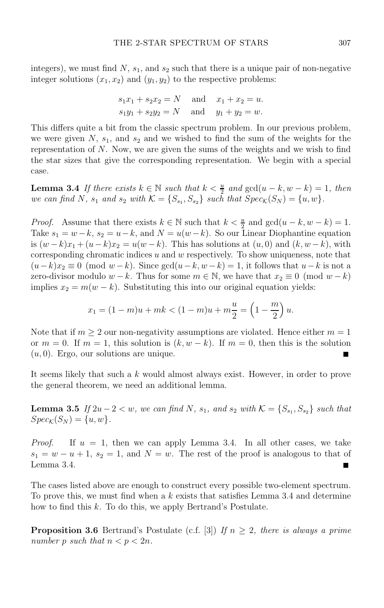integers), we must find  $N$ ,  $s_1$ , and  $s_2$  such that there is a unique pair of non-negative integer solutions  $(x_1, x_2)$  and  $(y_1, y_2)$  to the respective problems:

$$
s_1x_1 + s_2x_2 = N
$$
 and  $x_1 + x_2 = u$ .  
\n $s_1y_1 + s_2y_2 = N$  and  $y_1 + y_2 = w$ .

This differs quite a bit from the classic spectrum problem. In our previous problem, we were given  $N$ ,  $s_1$ , and  $s_2$  and we wished to find the sum of the weights for the representation of N. Now, we are given the sums of the weights and we wish to find the star sizes that give the corresponding representation. We begin with a special case.

**Lemma 3.4** *If there exists*  $k \in \mathbb{N}$  *such that*  $k < \frac{u}{2}$  *and*  $gcd(u - k, w - k) = 1$ *, then*  $ve can find N$  *s*, and s<sub>p</sub> with  $K - 1S - S$ , such that  $Spec(S_N) - 1u$  wh *we can find* N,  $s_1$  *and*  $s_2$  *with*  $K = \{S_{s_1}, S_{s_2}\}$  *such that*  $Spec_K(S_N) = \{u, w\}.$ 

*Proof.* Assume that there exists  $k \in \mathbb{N}$  such that  $k < \frac{u}{2}$  and  $gcd(u - k, w - k) = 1$ .<br>Take  $e_k = u - k$   $e_k = u - k$  and  $N = u(u - k)$ . So our Linear Diophantine equation Take  $s_1 = w - k$ ,  $s_2 = u - k$ , and  $N = u(w - k)$ . So our Linear Diophantine equation is  $(w-k)x_1 + (u-k)x_2 = u(w-k)$ . This has solutions at  $(u, 0)$  and  $(k, w-k)$ , with corresponding chromatic indices  $u$  and  $w$  respectively. To show uniqueness, note that  $(u-k)x_2 \equiv 0 \pmod{w-k}$ . Since  $gcd(u-k, w-k) = 1$ , it follows that  $u-k$  is not a zero-divisor modulo  $w - k$ . Thus for some  $m \in \mathbb{N}$ , we have that  $x_2 \equiv 0 \pmod{w - k}$ implies  $x_2 = m(w - k)$ . Substituting this into our original equation yields:

$$
x_1 = (1 - m)u + mk < (1 - m)u + m\frac{u}{2} = \left(1 - \frac{m}{2}\right)u
$$

Note that if  $m \geq 2$  our non-negativity assumptions are violated. Hence either  $m = 1$ or  $m = 0$ . If  $m = 1$ , this solution is  $(k, w - k)$ . If  $m = 0$ , then this is the solution  $(u, 0)$ . Ergo, our solutions are unique.

It seems likely that such a k would almost always exist. However, in order to prove the general theorem, we need an additional lemma.

**Lemma 3.5** *If*  $2u - 2 < w$ *, we can find* N,  $s_1$ *, and*  $s_2$  *with*  $K = \{S_{s_1}, S_{s_2}\}\$  *such that*  $Spec_{\mathcal{K}}(S_{N}) = \{u, w\}.$ 

*Proof.* If  $u = 1$ , then we can apply Lemma 3.4. In all other cases, we take  $s_1 = w - u + 1$ ,  $s_2 = 1$ , and  $N = w$ . The rest of the proof is analogous to that of Lemma 3.4. Lemma 3.4.

The cases listed above are enough to construct every possible two-element spectrum. To prove this, we must find when a  $k$  exists that satisfies Lemma 3.4 and determine how to find this k. To do this, we apply Bertrand's Postulate.

**Proposition 3.6** Bertrand's Postulate (c.f. [3]) *If*  $n \geq 2$ *, there is always a prime number* p *such that*  $n < p < 2n$ *.*